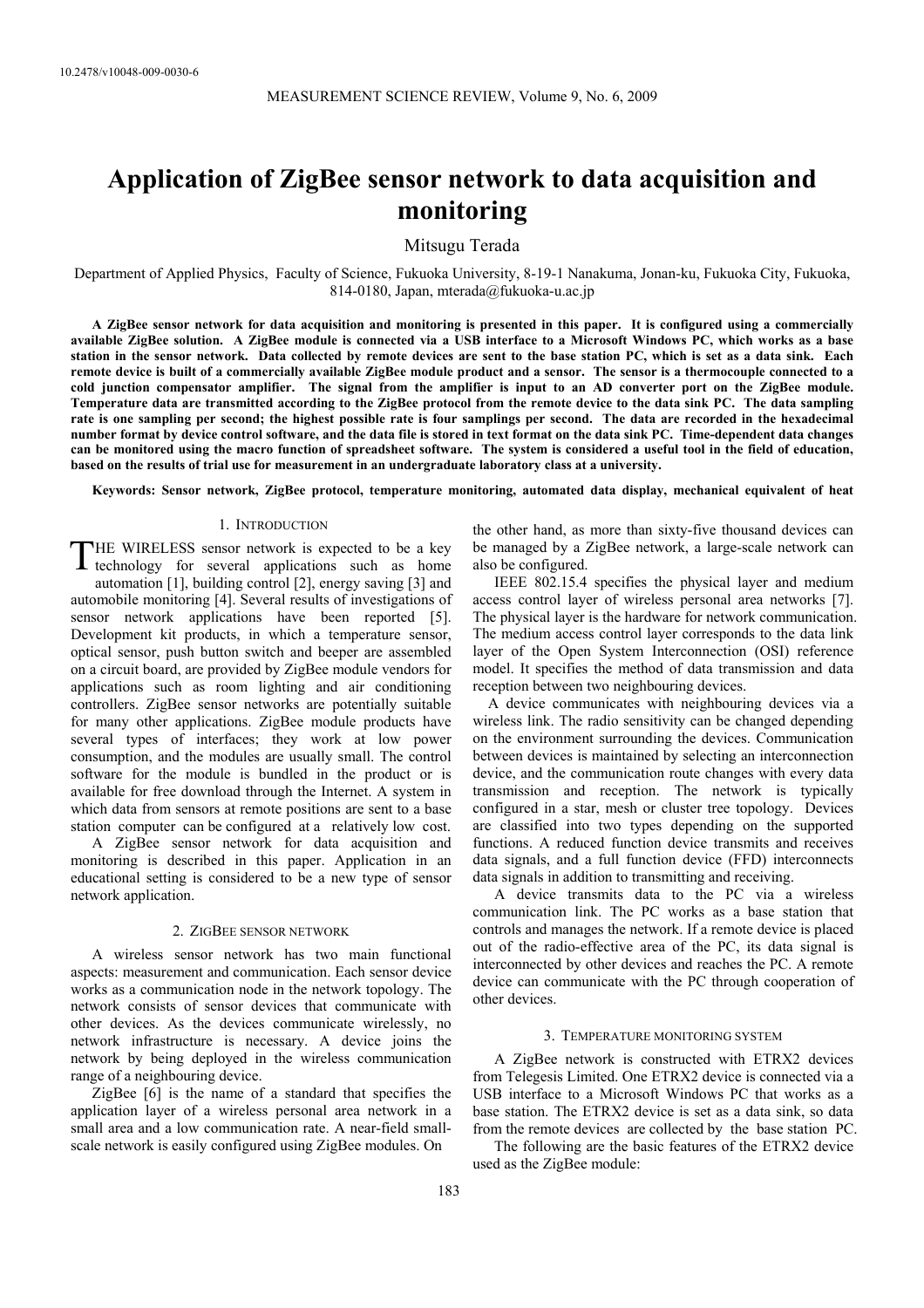# **Application of ZigBee sensor network to data acquisition and monitoring**

Mitsugu Terada

Department of Applied Physics, Faculty of Science, Fukuoka University, 8-19-1 Nanakuma, Jonan-ku, Fukuoka City, Fukuoka, 814-0180, Japan, mterada@fukuoka-u.ac.jp

**A ZigBee sensor network for data acquisition and monitoring is presented in this paper. It is configured using a commercially available ZigBee solution. A ZigBee module is connected via a USB interface to a Microsoft Windows PC, which works as a base station in the sensor network. Data collected by remote devices are sent to the base station PC, which is set as a data sink. Each remote device is built of a commercially available ZigBee module product and a sensor. The sensor is a thermocouple connected to a cold junction compensator amplifier. The signal from the amplifier is input to an AD converter port on the ZigBee module. Temperature data are transmitted according to the ZigBee protocol from the remote device to the data sink PC. The data sampling rate is one sampling per second; the highest possible rate is four samplings per second. The data are recorded in the hexadecimal number format by device control software, and the data file is stored in text format on the data sink PC. Time-dependent data changes can be monitored using the macro function of spreadsheet software. The system is considered a useful tool in the field of education, based on the results of trial use for measurement in an undergraduate laboratory class at a university.** 

**Keywords: Sensor network, ZigBee protocol, temperature monitoring, automated data display, mechanical equivalent of heat**

## 1. INTRODUCTION

HE WIRELESS sensor network is expected to be a key THE WIRELESS sensor network is expected to be a key<br>technology for several applications such as home automation [1], building control [2], energy saving [3] and automobile monitoring [4]. Several results of investigations of sensor network applications have been reported [5].

Development kit products, in which a temperature sensor, optical sensor, push button switch and beeper are assembled on a circuit board, are provided by ZigBee module vendors for applications such as room lighting and air conditioning controllers. ZigBee sensor networks are potentially suitable for many other applications. ZigBee module products have several types of interfaces; they work at low power consumption, and the modules are usually small. The control software for the module is bundled in the product or is available for free download through the Internet. A system in which data from sensors at remote positions are sent to a base station computer can be configured at a relatively low cost.

A ZigBee sensor network for data acquisition and monitoring is described in this paper. Application in an educational setting is considered to be a new type of sensor network application.

## 2. ZIGBEE SENSOR NETWORK

A wireless sensor network has two main functional aspects: measurement and communication. Each sensor device works as a communication node in the network topology. The network consists of sensor devices that communicate with other devices. As the devices communicate wirelessly, no network infrastructure is necessary. A device joins the network by being deployed in the wireless communication range of a neighbouring device.

ZigBee [6] is the name of a standard that specifies the application layer of a wireless personal area network in a small area and a low communication rate. A near-field smallscale network is easily configured using ZigBee modules. On

the other hand, as more than sixty-five thousand devices can be managed by a ZigBee network, a large-scale network can also be configured.

IEEE 802.15.4 specifies the physical layer and medium access control layer of wireless personal area networks [7]. The physical layer is the hardware for network communication. The medium access control layer corresponds to the data link layer of the Open System Interconnection (OSI) reference model. It specifies the method of data transmission and data reception between two neighbouring devices.

A device communicates with neighbouring devices via a wireless link. The radio sensitivity can be changed depending on the environment surrounding the devices. Communication between devices is maintained by selecting an interconnection device, and the communication route changes with every data transmission and reception. The network is typically configured in a star, mesh or cluster tree topology. Devices are classified into two types depending on the supported functions. A reduced function device transmits and receives data signals, and a full function device (FFD) interconnects data signals in addition to transmitting and receiving.

A device transmits data to the PC via a wireless communication link. The PC works as a base station that controls and manages the network. If a remote device is placed out of the radio-effective area of the PC, its data signal is interconnected by other devices and reaches the PC. A remote device can communicate with the PC through cooperation of other devices.

#### 3. TEMPERATURE MONITORING SYSTEM

A ZigBee network is constructed with ETRX2 devices from Telegesis Limited. One ETRX2 device is connected via a USB interface to a Microsoft Windows PC that works as a base station. The ETRX2 device is set as a data sink, so data from the remote devices are collected by the base station PC.

The following are the basic features of the ETRX2 device used as the ZigBee module: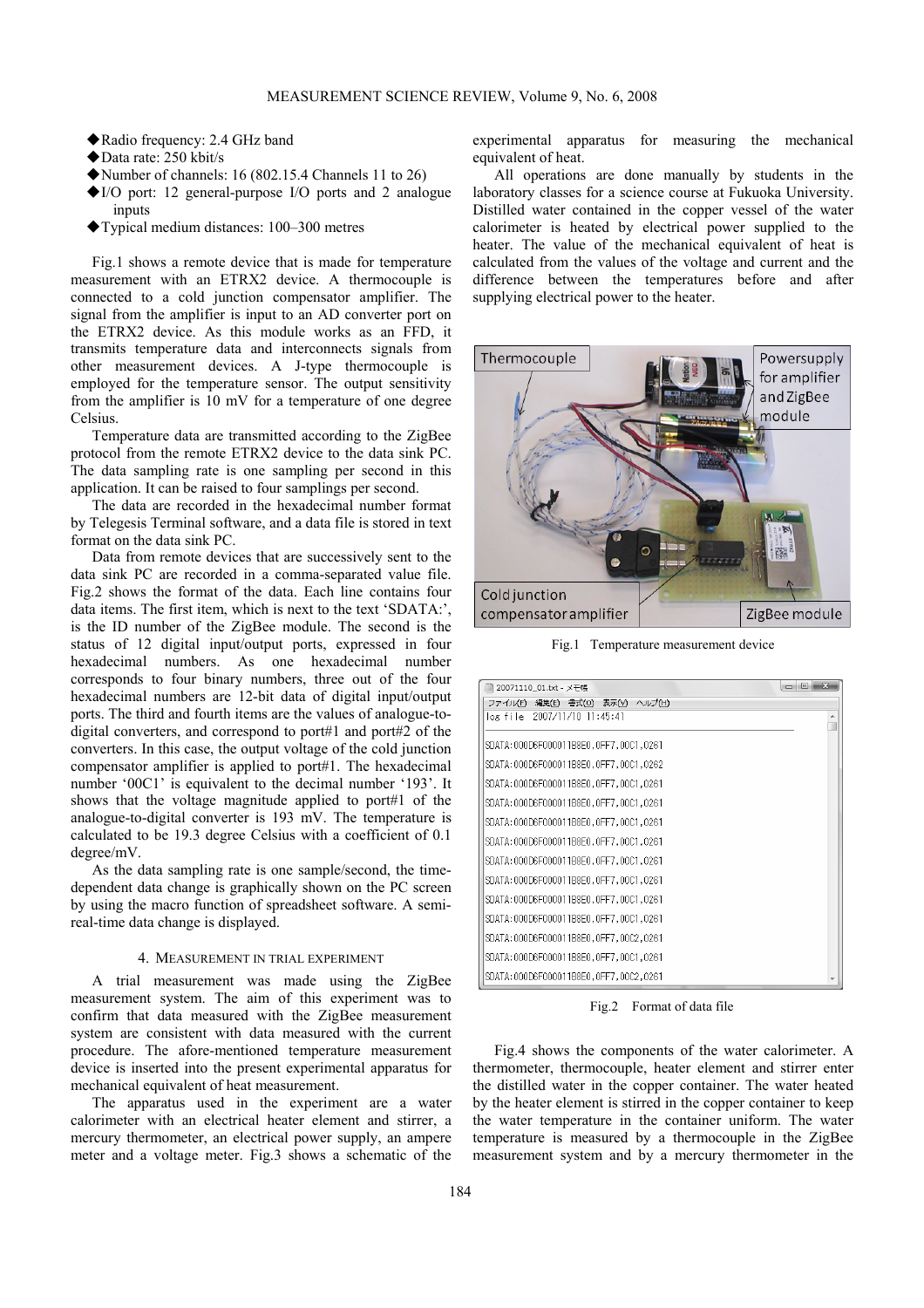- Radio frequency: 2.4 GHz band
- ◆ Data rate: 250 kbit/s
- Number of channels: 16 (802.15.4 Channels 11 to 26)
- I/O port: 12 general-purpose I/O ports and 2 analogue inputs
- Typical medium distances: 100–300 metres

Fig.1 shows a remote device that is made for temperature measurement with an ETRX2 device. A thermocouple is connected to a cold junction compensator amplifier. The signal from the amplifier is input to an AD converter port on the ETRX2 device. As this module works as an FFD, it transmits temperature data and interconnects signals from other measurement devices. A J-type thermocouple is employed for the temperature sensor. The output sensitivity from the amplifier is 10 mV for a temperature of one degree Celsius.

Temperature data are transmitted according to the ZigBee protocol from the remote ETRX2 device to the data sink PC. The data sampling rate is one sampling per second in this application. It can be raised to four samplings per second.

The data are recorded in the hexadecimal number format by Telegesis Terminal software, and a data file is stored in text format on the data sink PC.

Data from remote devices that are successively sent to the data sink PC are recorded in a comma-separated value file. Fig.2 shows the format of the data. Each line contains four data items. The first item, which is next to the text 'SDATA:', is the ID number of the ZigBee module. The second is the status of 12 digital input/output ports, expressed in four hexadecimal numbers. As one hexadecimal number corresponds to four binary numbers, three out of the four hexadecimal numbers are 12-bit data of digital input/output ports. The third and fourth items are the values of analogue-todigital converters, and correspond to port#1 and port#2 of the converters. In this case, the output voltage of the cold junction compensator amplifier is applied to port#1. The hexadecimal number '00C1' is equivalent to the decimal number '193'. It shows that the voltage magnitude applied to port#1 of the analogue-to-digital converter is 193 mV. The temperature is calculated to be 19.3 degree Celsius with a coefficient of 0.1 degree/mV.

As the data sampling rate is one sample/second, the timedependent data change is graphically shown on the PC screen by using the macro function of spreadsheet software. A semireal-time data change is displayed.

## 4. MEASUREMENT IN TRIAL EXPERIMENT

A trial measurement was made using the ZigBee measurement system. The aim of this experiment was to confirm that data measured with the ZigBee measurement system are consistent with data measured with the current procedure. The afore-mentioned temperature measurement device is inserted into the present experimental apparatus for mechanical equivalent of heat measurement.

The apparatus used in the experiment are a water calorimeter with an electrical heater element and stirrer, a mercury thermometer, an electrical power supply, an ampere meter and a voltage meter. Fig.3 shows a schematic of the experimental apparatus for measuring the mechanical equivalent of heat.

All operations are done manually by students in the laboratory classes for a science course at Fukuoka University. Distilled water contained in the copper vessel of the water calorimeter is heated by electrical power supplied to the heater. The value of the mechanical equivalent of heat is calculated from the values of the voltage and current and the difference between the temperatures before and after supplying electrical power to the heater.



Fig.1 Temperature measurement device

| 20071110 01.txt - メモ帳<br>$\Box$       | $\overline{\mathbf{x}}$<br>$\Box$ |
|---------------------------------------|-----------------------------------|
| 編集(E) 書式(0) 表示(Y) ヘルプ(H)<br>ファイル(E)   |                                   |
| log file 2007/11/10 11:45:41          |                                   |
| 0261, SDATA: 000D6F000011B8E0         |                                   |
| 0262.000D6F000011B8E0.0FF7            |                                   |
| 0261, SDATA: 000D6F000011B8E0         |                                   |
| 0261, 0261, SDATA: 000D6F000011B8E0   |                                   |
| 0261, 0261, SDATA: 000D6F000011B8E0   |                                   |
| 0261, SDATA:000D6F000011B8E0          |                                   |
| SDATA:000D6F000011B8E0.0FF7.00C1.0261 |                                   |
| 0261, 000D6F000011B8E0.0FF7           |                                   |
| SDATA:000D6F000011B8F0.0FF7.00C1.0261 |                                   |
| 0261, SDATA: 000D6F000011B8E0         |                                   |
| 0261, SDATA: 000D6F000011B8E0         |                                   |
| 0261, 000D6F000011B8E0.0FF7           |                                   |
| 0261, SDATA:000D6F000011B8E0          |                                   |

Fig.2 Format of data file

Fig.4 shows the components of the water calorimeter. A thermometer, thermocouple, heater element and stirrer enter the distilled water in the copper container. The water heated by the heater element is stirred in the copper container to keep the water temperature in the container uniform. The water temperature is measured by a thermocouple in the ZigBee measurement system and by a mercury thermometer in the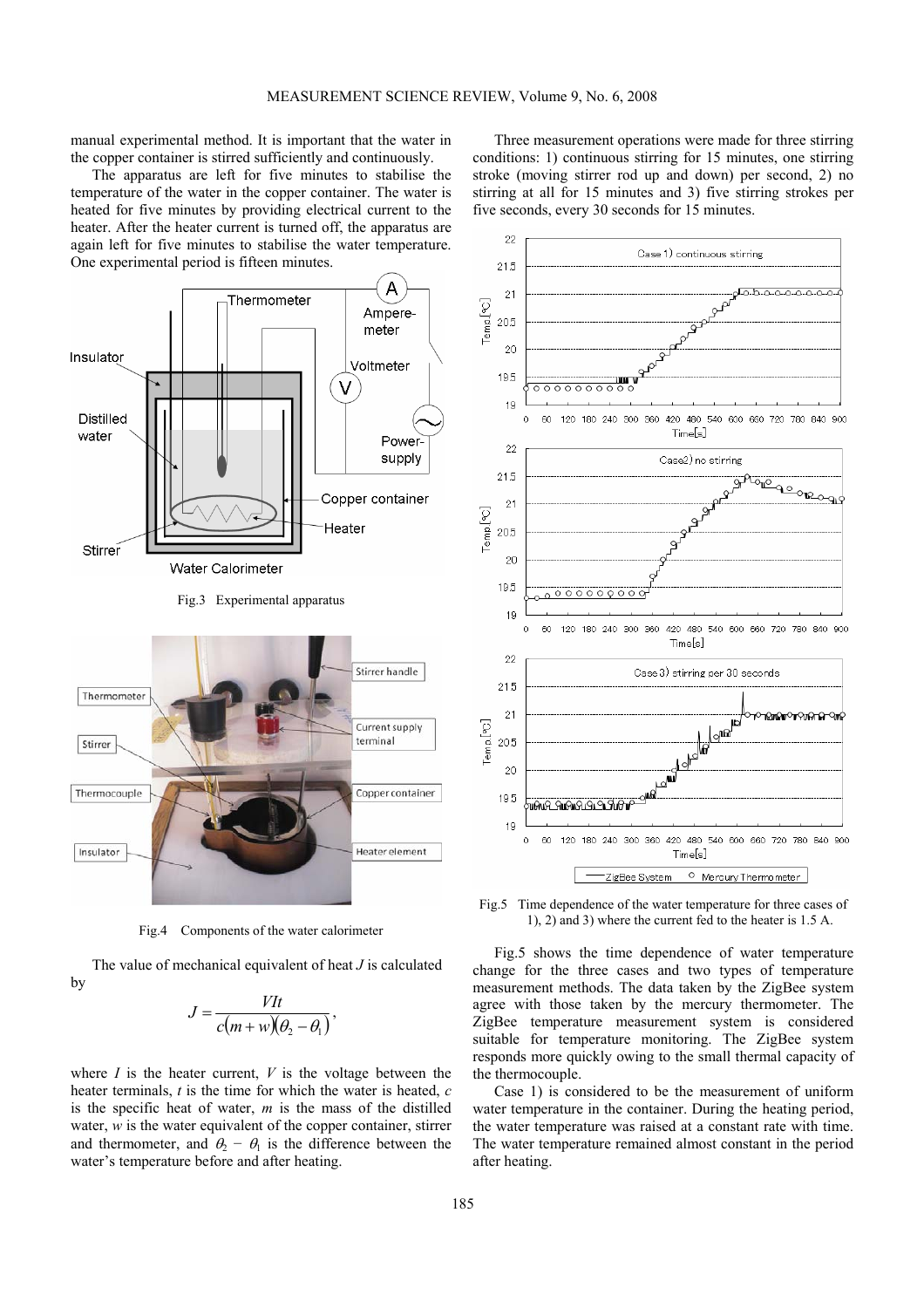manual experimental method. It is important that the water in the copper container is stirred sufficiently and continuously.

The apparatus are left for five minutes to stabilise the temperature of the water in the copper container. The water is heated for five minutes by providing electrical current to the heater. After the heater current is turned off, the apparatus are again left for five minutes to stabilise the water temperature. One experimental period is fifteen minutes.



Fig.3 Experimental apparatus



Fig.4 Components of the water calorimeter

The value of mechanical equivalent of heat *J* is calculated by

$$
J = \frac{VIt}{c(m+w)(\theta_2 - \theta_1)},
$$

where  $I$  is the heater current,  $V$  is the voltage between the heater terminals, *t* is the time for which the water is heated, *c* is the specific heat of water, *m* is the mass of the distilled water, *w* is the water equivalent of the copper container, stirrer and thermometer, and  $\theta_2 - \theta_1$  is the difference between the water's temperature before and after heating.

Three measurement operations were made for three stirring conditions: 1) continuous stirring for 15 minutes, one stirring stroke (moving stirrer rod up and down) per second, 2) no stirring at all for 15 minutes and 3) five stirring strokes per five seconds, every 30 seconds for 15 minutes.



Fig.5 Time dependence of the water temperature for three cases of 1), 2) and 3) where the current fed to the heater is 1.5 A.

Fig.5 shows the time dependence of water temperature change for the three cases and two types of temperature measurement methods. The data taken by the ZigBee system agree with those taken by the mercury thermometer. The ZigBee temperature measurement system is considered suitable for temperature monitoring. The ZigBee system responds more quickly owing to the small thermal capacity of the thermocouple.

Case 1) is considered to be the measurement of uniform water temperature in the container. During the heating period, the water temperature was raised at a constant rate with time. The water temperature remained almost constant in the period after heating.